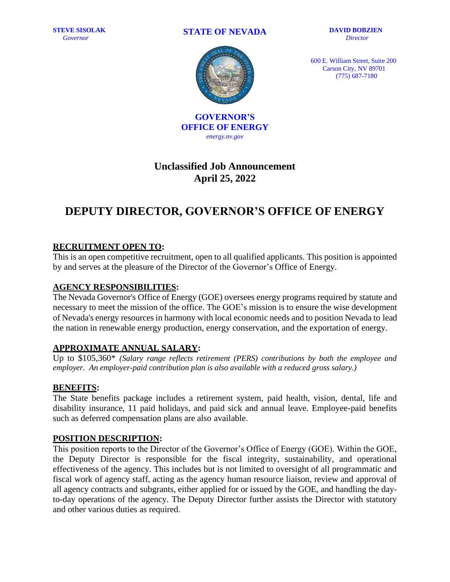**STEVE SISOLAK** *Governor*

#### **STATE OF NEVADA**

**DAVID BOBZIEN** *Director*

600 E. William Street, Suite 200 Carson City, NV 89701 (775) 687-7180



**GOVERNOR'S OFFICE OF ENERGY** *energy.nv.gov*

# **Unclassified Job Announcement April 25, 2022**

# **DEPUTY DIRECTOR, GOVERNOR'S OFFICE OF ENERGY**

# **RECRUITMENT OPEN TO:**

This is an open competitive recruitment, open to all qualified applicants. This position is appointed by and serves at the pleasure of the Director of the Governor's Office of Energy.

#### **AGENCY RESPONSIBILITIES:**

The Nevada Governor's Office of Energy (GOE) oversees energy programs required by statute and necessary to meet the mission of the office. The GOE's mission is to ensure the wise development of Nevada's energy resources in harmony with local economic needs and to position Nevada to lead the nation in renewable energy production, energy conservation, and the exportation of energy.

# **APPROXIMATE ANNUAL SALARY:**

Up to \$105,360\* *(Salary range reflects retirement (PERS) contributions by both the employee and employer. An employer-paid contribution plan is also available with a reduced gross salary.)*

#### **BENEFITS:**

The State benefits package includes a retirement system, paid health, vision, dental, life and disability insurance, 11 paid holidays, and paid sick and annual leave. Employee-paid benefits such as deferred compensation plans are also available.

#### **POSITION DESCRIPTION:**

This position reports to the Director of the Governor's Office of Energy (GOE). Within the GOE, the Deputy Director is responsible for the fiscal integrity, sustainability, and operational effectiveness of the agency. This includes but is not limited to oversight of all programmatic and fiscal work of agency staff, acting as the agency human resource liaison, review and approval of all agency contracts and subgrants, either applied for or issued by the GOE, and handling the dayto-day operations of the agency. The Deputy Director further assists the Director with statutory and other various duties as required.